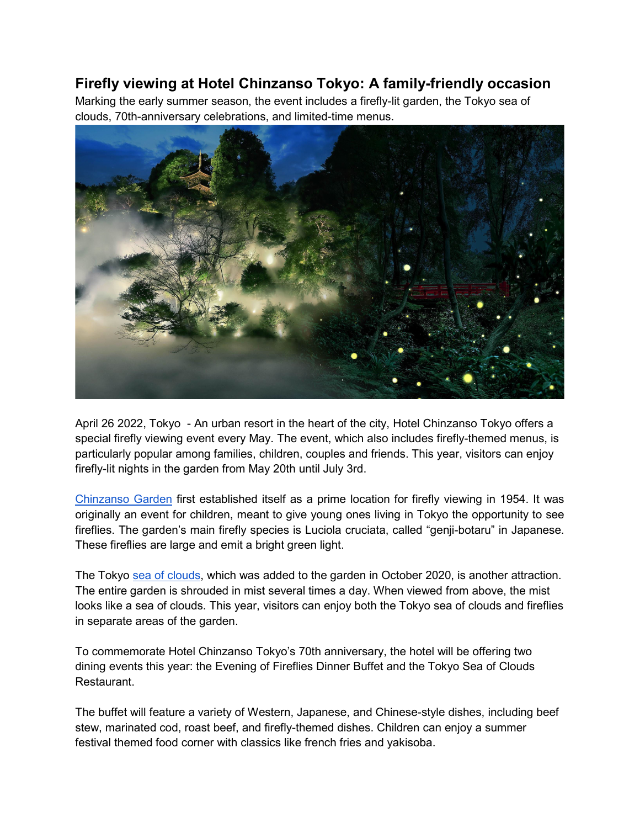## **Firefly viewing at Hotel Chinzanso Tokyo: A family-friendly occasion**

Marking the early summer season, the event includes a firefly-lit garden, the Tokyo sea of clouds, 70th-anniversary celebrations, and limited-time menus.



April 26 2022, Tokyo - An urban resort in the heart of the city, Hotel Chinzanso Tokyo offers a special firefly viewing event every May. The event, which also includes firefly-themed menus, is particularly popular among families, children, couples and friends. This year, visitors can enjoy firefly-lit nights in the garden from May 20th until July 3rd.

[Chinzanso Garden](https://www.hotel-chinzanso-tokyo.com/news/hotel-chinzanso-tokyo-garden-tours-discover-the-secret-history-of-tokyo) first established itself as a prime location for firefly viewing in 1954. It was originally an event for children, meant to give young ones living in Tokyo the opportunity to see fireflies. The garden's main firefly species is Luciola cruciata, called "genji-botaru" in Japanese. These fireflies are large and emit a bright green light.

The Tokyo [sea of clouds,](https://www.hotel-chinzanso-tokyo.com/news/a-spectacular-sight-enjoy-a-sea-of-clouds-at-hotel-chinzanso-tokyo) which was added to the garden in October 2020, is another attraction. The entire garden is shrouded in mist several times a day. When viewed from above, the mist looks like a sea of clouds. This year, visitors can enjoy both the Tokyo sea of clouds and fireflies in separate areas of the garden.

To commemorate Hotel Chinzanso Tokyo's 70th anniversary, the hotel will be offering two dining events this year: the Evening of Fireflies Dinner Buffet and the Tokyo Sea of Clouds Restaurant.

The buffet will feature a variety of Western, Japanese, and Chinese-style dishes, including beef stew, marinated cod, roast beef, and firefly-themed dishes. Children can enjoy a summer festival themed food corner with classics like french fries and yakisoba.